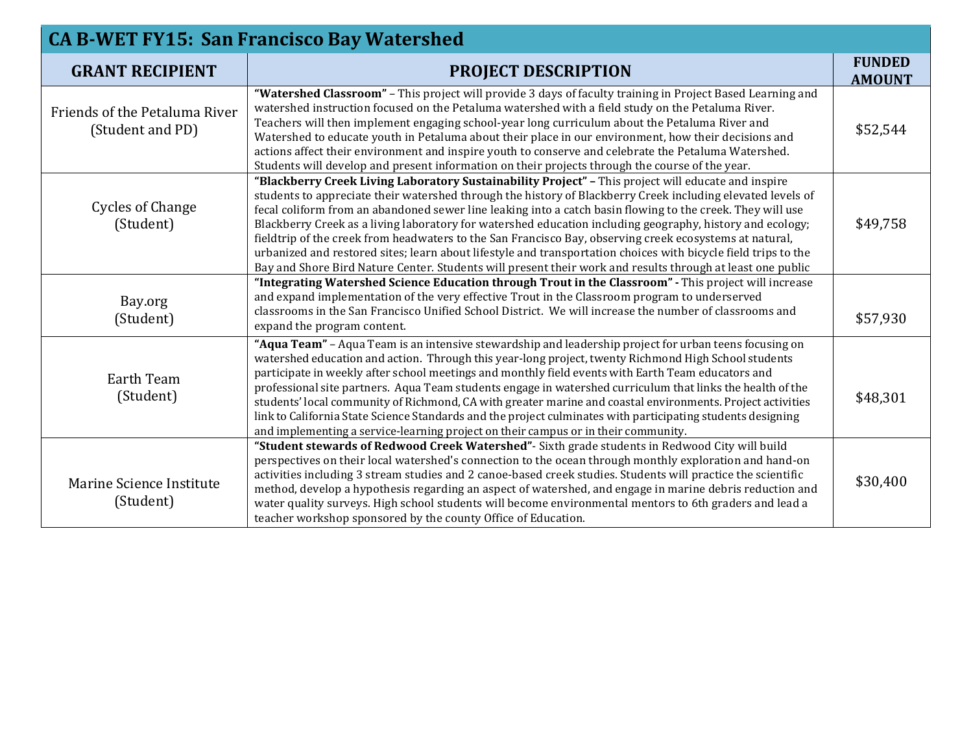| <b>CA B-WET FY15: San Francisco Bay Watershed</b> |                                                                                                                                                                                                                                                                                                                                                                                                                                                                                                                                                                                                                                                                                                                                                                                          |                                |  |
|---------------------------------------------------|------------------------------------------------------------------------------------------------------------------------------------------------------------------------------------------------------------------------------------------------------------------------------------------------------------------------------------------------------------------------------------------------------------------------------------------------------------------------------------------------------------------------------------------------------------------------------------------------------------------------------------------------------------------------------------------------------------------------------------------------------------------------------------------|--------------------------------|--|
| <b>GRANT RECIPIENT</b>                            | <b>PROJECT DESCRIPTION</b>                                                                                                                                                                                                                                                                                                                                                                                                                                                                                                                                                                                                                                                                                                                                                               | <b>FUNDED</b><br><b>AMOUNT</b> |  |
| Friends of the Petaluma River<br>(Student and PD) | "Watershed Classroom" - This project will provide 3 days of faculty training in Project Based Learning and<br>watershed instruction focused on the Petaluma watershed with a field study on the Petaluma River.<br>Teachers will then implement engaging school-year long curriculum about the Petaluma River and<br>Watershed to educate youth in Petaluma about their place in our environment, how their decisions and<br>actions affect their environment and inspire youth to conserve and celebrate the Petaluma Watershed.<br>Students will develop and present information on their projects through the course of the year.                                                                                                                                                     | \$52,544                       |  |
| <b>Cycles of Change</b><br>(Student)              | "Blackberry Creek Living Laboratory Sustainability Project" - This project will educate and inspire<br>students to appreciate their watershed through the history of Blackberry Creek including elevated levels of<br>fecal coliform from an abandoned sewer line leaking into a catch basin flowing to the creek. They will use<br>Blackberry Creek as a living laboratory for watershed education including geography, history and ecology;<br>fieldtrip of the creek from headwaters to the San Francisco Bay, observing creek ecosystems at natural,<br>urbanized and restored sites; learn about lifestyle and transportation choices with bicycle field trips to the<br>Bay and Shore Bird Nature Center. Students will present their work and results through at least one public | \$49,758                       |  |
| Bay.org<br>(Student)                              | "Integrating Watershed Science Education through Trout in the Classroom" - This project will increase<br>and expand implementation of the very effective Trout in the Classroom program to underserved<br>classrooms in the San Francisco Unified School District. We will increase the number of classrooms and<br>expand the program content.                                                                                                                                                                                                                                                                                                                                                                                                                                          | \$57,930                       |  |
| Earth Team<br>(Student)                           | "Aqua Team" - Aqua Team is an intensive stewardship and leadership project for urban teens focusing on<br>watershed education and action. Through this year-long project, twenty Richmond High School students<br>participate in weekly after school meetings and monthly field events with Earth Team educators and<br>professional site partners. Aqua Team students engage in watershed curriculum that links the health of the<br>students' local community of Richmond, CA with greater marine and coastal environments. Project activities<br>link to California State Science Standards and the project culminates with participating students designing<br>and implementing a service-learning project on their campus or in their community.                                    | \$48,301                       |  |
| Marine Science Institute<br>(Student)             | "Student stewards of Redwood Creek Watershed"- Sixth grade students in Redwood City will build<br>perspectives on their local watershed's connection to the ocean through monthly exploration and hand-on<br>activities including 3 stream studies and 2 canoe-based creek studies. Students will practice the scientific<br>method, develop a hypothesis regarding an aspect of watershed, and engage in marine debris reduction and<br>water quality surveys. High school students will become environmental mentors to 6th graders and lead a<br>teacher workshop sponsored by the county Office of Education.                                                                                                                                                                        | \$30,400                       |  |